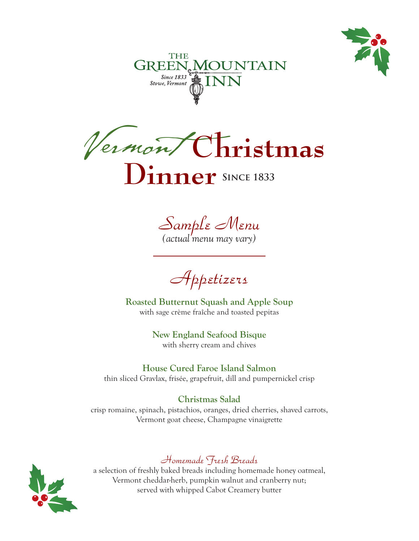





*Sample Menu*

*(actual menu may vary)*

*Appetizers*

**Roasted Butternut Squash and Apple Soup** with sage crème fraîche and toasted pepitas

> **New England Seafood Bisque** with sherry cream and chives

**House Cured Faroe Island Salmon** thin sliced Gravlax, frisée, grapefruit, dill and pumpernickel crisp

**Christmas Salad** crisp romaine, spinach, pistachios, oranges, dried cherries, shaved carrots, Vermont goat cheese, Champagne vinaigrette



# *Homemade Fresh Breads*

a selection of freshly baked breads including homemade honey oatmeal, Vermont cheddar-herb, pumpkin walnut and cranberry nut; served with whipped Cabot Creamery butter